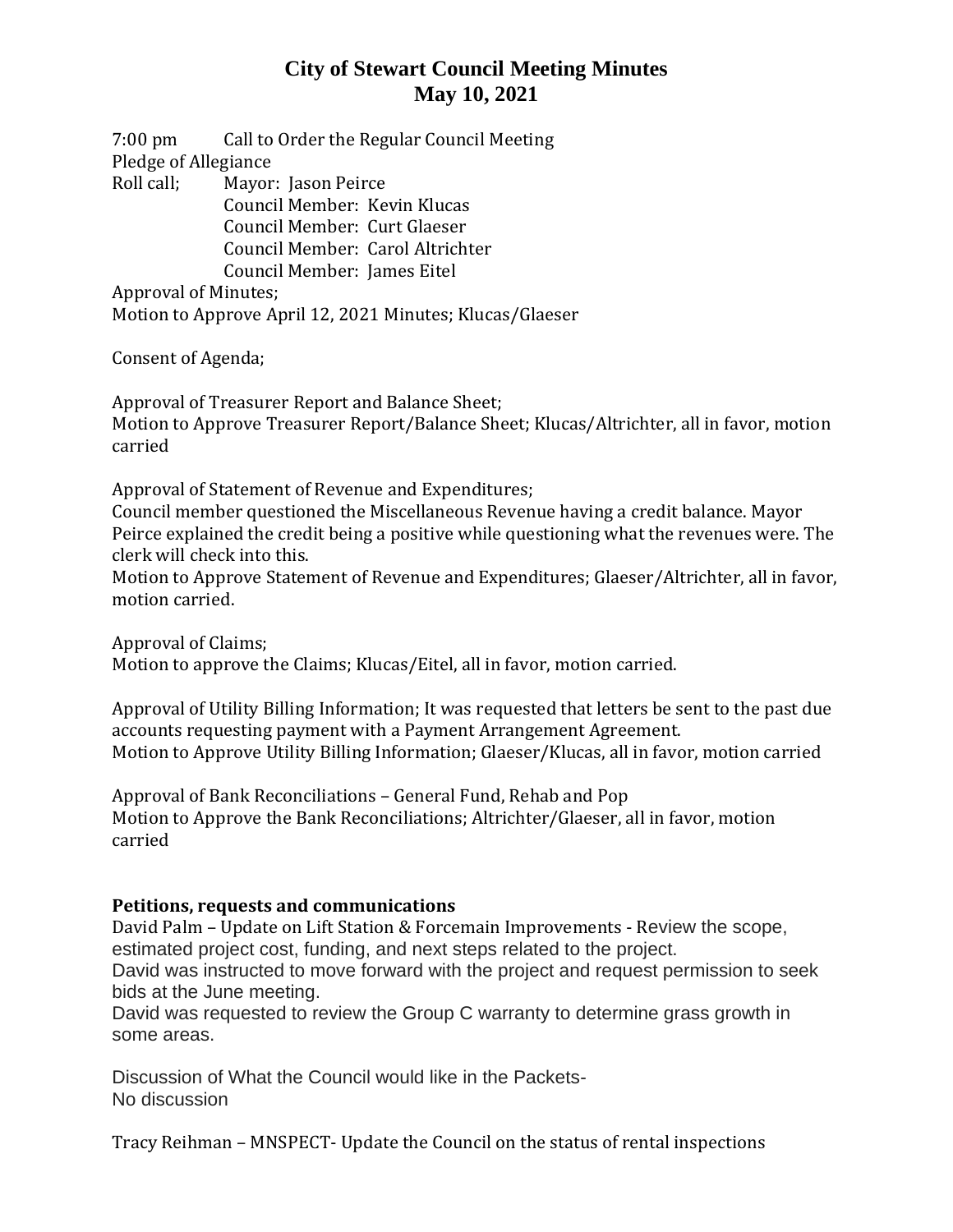## **City of Stewart Council Meeting Minutes May 10, 2021**

7:00 pm Call to Order the Regular Council Meeting Pledge of Allegiance Roll call; Mayor: Jason Peirce Council Member: Kevin Klucas Council Member: Curt Glaeser Council Member: Carol Altrichter

Council Member: James Eitel

Approval of Minutes;

Motion to Approve April 12, 2021 Minutes; Klucas/Glaeser

Consent of Agenda;

Approval of Treasurer Report and Balance Sheet; Motion to Approve Treasurer Report/Balance Sheet; Klucas/Altrichter, all in favor, motion carried

Approval of Statement of Revenue and Expenditures;

Council member questioned the Miscellaneous Revenue having a credit balance. Mayor Peirce explained the credit being a positive while questioning what the revenues were. The clerk will check into this.

Motion to Approve Statement of Revenue and Expenditures; Glaeser/Altrichter, all in favor, motion carried.

Approval of Claims; Motion to approve the Claims; Klucas/Eitel, all in favor, motion carried.

Approval of Utility Billing Information; It was requested that letters be sent to the past due accounts requesting payment with a Payment Arrangement Agreement. Motion to Approve Utility Billing Information; Glaeser/Klucas, all in favor, motion carried

Approval of Bank Reconciliations – General Fund, Rehab and Pop Motion to Approve the Bank Reconciliations; Altrichter/Glaeser, all in favor, motion carried

#### **Petitions, requests and communications**

David Palm – Update on Lift Station & Forcemain Improvements - Review the scope, estimated project cost, funding, and next steps related to the project.

David was instructed to move forward with the project and request permission to seek bids at the June meeting.

David was requested to review the Group C warranty to determine grass growth in some areas.

Discussion of What the Council would like in the Packets-No discussion

Tracy Reihman – MNSPECT- Update the Council on the status of rental inspections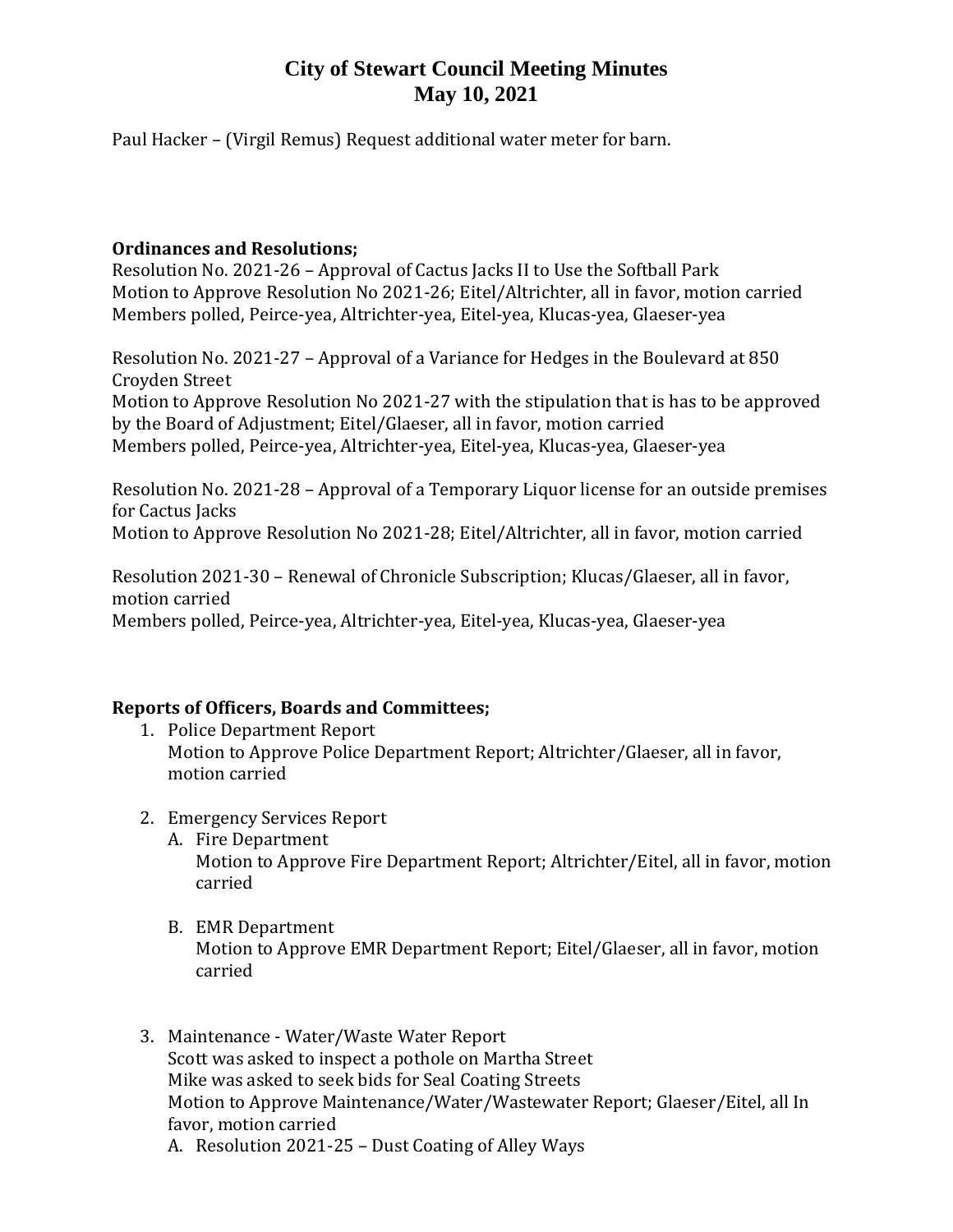## **City of Stewart Council Meeting Minutes May 10, 2021**

Paul Hacker – (Virgil Remus) Request additional water meter for barn.

#### **Ordinances and Resolutions;**

Resolution No. 2021-26 – Approval of Cactus Jacks II to Use the Softball Park Motion to Approve Resolution No 2021-26; Eitel/Altrichter, all in favor, motion carried Members polled, Peirce-yea, Altrichter-yea, Eitel-yea, Klucas-yea, Glaeser-yea

Resolution No. 2021-27 – Approval of a Variance for Hedges in the Boulevard at 850 Croyden Street Motion to Approve Resolution No 2021-27 with the stipulation that is has to be approved by the Board of Adjustment; Eitel/Glaeser, all in favor, motion carried

Members polled, Peirce-yea, Altrichter-yea, Eitel-yea, Klucas-yea, Glaeser-yea

Resolution No. 2021-28 – Approval of a Temporary Liquor license for an outside premises for Cactus Jacks

Motion to Approve Resolution No 2021-28; Eitel/Altrichter, all in favor, motion carried

Resolution 2021-30 – Renewal of Chronicle Subscription; Klucas/Glaeser, all in favor, motion carried Members polled, Peirce-yea, Altrichter-yea, Eitel-yea, Klucas-yea, Glaeser-yea

# **Reports of Officers, Boards and Committees;**

- 1. Police Department Report Motion to Approve Police Department Report; Altrichter/Glaeser, all in favor, motion carried
- 2. Emergency Services Report
	- A. Fire Department Motion to Approve Fire Department Report; Altrichter/Eitel, all in favor, motion carried
	- B. EMR Department Motion to Approve EMR Department Report; Eitel/Glaeser, all in favor, motion carried
- 3. Maintenance Water/Waste Water Report Scott was asked to inspect a pothole on Martha Street Mike was asked to seek bids for Seal Coating Streets Motion to Approve Maintenance/Water/Wastewater Report; Glaeser/Eitel, all In favor, motion carried A. Resolution 2021-25 – Dust Coating of Alley Ways